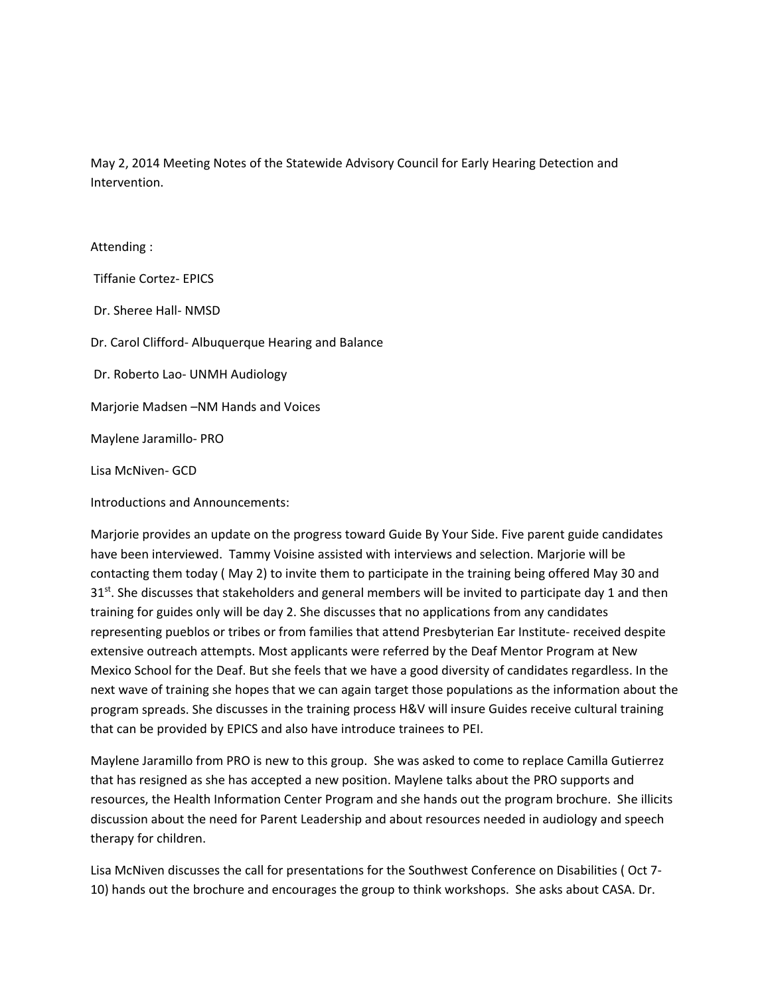May 2, 2014 Meeting Notes of the Statewide Advisory Council for Early Hearing Detection and Intervention.

## Attending :

Tiffanie Cortez‐ EPICS

Dr. Sheree Hall‐ NMSD

Dr. Carol Clifford‐ Albuquerque Hearing and Balance

Dr. Roberto Lao‐ UNMH Audiology

Marjorie Madsen –NM Hands and Voices

Maylene Jaramillo‐ PRO

Lisa McNiven‐ GCD

Introductions and Announcements:

Marjorie provides an update on the progress toward Guide By Your Side. Five parent guide candidates have been interviewed. Tammy Voisine assisted with interviews and selection. Marjorie will be contacting them today ( May 2) to invite them to participate in the training being offered May 30 and  $31<sup>st</sup>$ . She discusses that stakeholders and general members will be invited to participate day 1 and then training for guides only will be day 2. She discusses that no applications from any candidates representing pueblos or tribes or from families that attend Presbyterian Ear Institute- received despite extensive outreach attempts. Most applicants were referred by the Deaf Mentor Program at New Mexico School for the Deaf. But she feels that we have a good diversity of candidates regardless. In the next wave of training she hopes that we can again target those populations as the information about the program spreads. She discusses in the training process H&V will insure Guides receive cultural training that can be provided by EPICS and also have introduce trainees to PEI.

Maylene Jaramillo from PRO is new to this group. She was asked to come to replace Camilla Gutierrez that has resigned as she has accepted a new position. Maylene talks about the PRO supports and resources, the Health Information Center Program and she hands out the program brochure. She illicits discussion about the need for Parent Leadership and about resources needed in audiology and speech therapy for children.

Lisa McNiven discusses the call for presentations for the Southwest Conference on Disabilities ( Oct 7‐ 10) hands out the brochure and encourages the group to think workshops. She asks about CASA. Dr.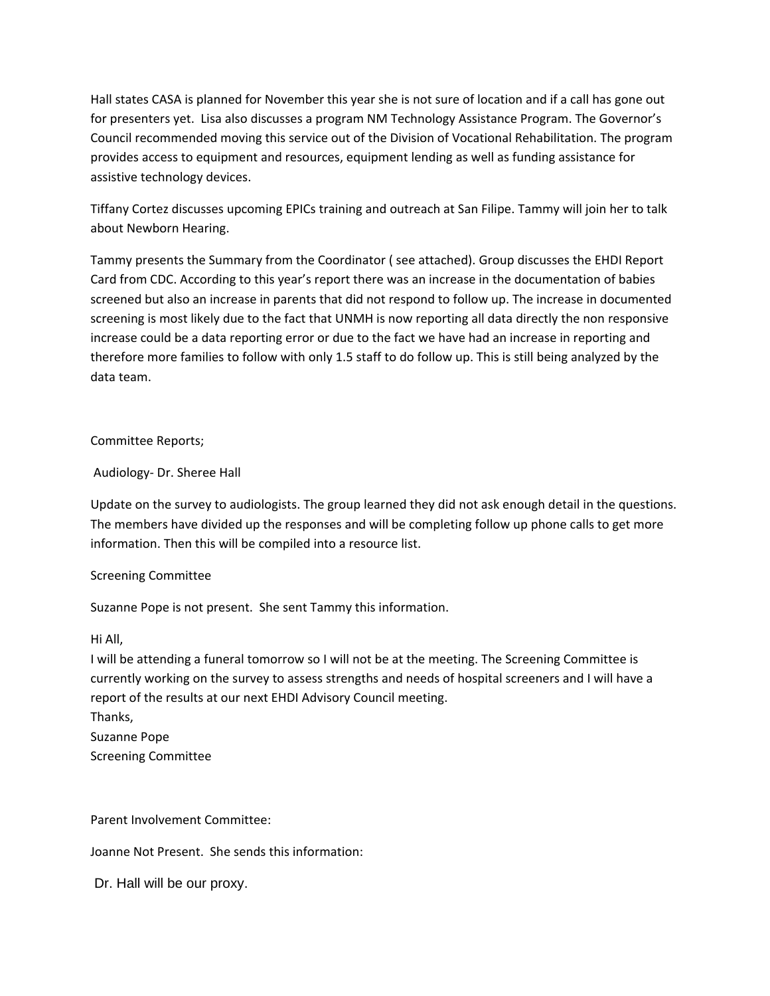Hall states CASA is planned for November this year she is not sure of location and if a call has gone out for presenters yet. Lisa also discusses a program NM Technology Assistance Program. The Governor's Council recommended moving this service out of the Division of Vocational Rehabilitation. The program provides access to equipment and resources, equipment lending as well as funding assistance for assistive technology devices.

Tiffany Cortez discusses upcoming EPICs training and outreach at San Filipe. Tammy will join her to talk about Newborn Hearing.

Tammy presents the Summary from the Coordinator ( see attached). Group discusses the EHDI Report Card from CDC. According to this year's report there was an increase in the documentation of babies screened but also an increase in parents that did not respond to follow up. The increase in documented screening is most likely due to the fact that UNMH is now reporting all data directly the non responsive increase could be a data reporting error or due to the fact we have had an increase in reporting and therefore more families to follow with only 1.5 staff to do follow up. This is still being analyzed by the data team.

Committee Reports;

Audiology‐ Dr. Sheree Hall

Update on the survey to audiologists. The group learned they did not ask enough detail in the questions. The members have divided up the responses and will be completing follow up phone calls to get more information. Then this will be compiled into a resource list.

## Screening Committee

Suzanne Pope is not present. She sent Tammy this information.

## Hi All,

I will be attending a funeral tomorrow so I will not be at the meeting. The Screening Committee is currently working on the survey to assess strengths and needs of hospital screeners and I will have a report of the results at our next EHDI Advisory Council meeting. Thanks, Suzanne Pope Screening Committee

Parent Involvement Committee:

Joanne Not Present. She sends this information:

Dr. Hall will be our proxy.